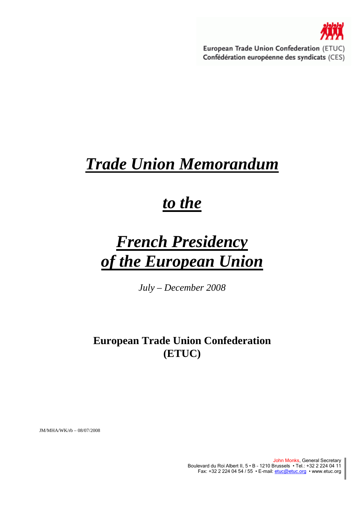

European Trade Union Confederation (ETUC) Confédération européenne des syndicats (CES)

## *Trade Union Memorandum*

## *to the*

# *French Presidency of the European Union*

*July – December 2008* 

## **European Trade Union Confederation (ETUC)**

JM/MHA/WK/rb – 08/07/2008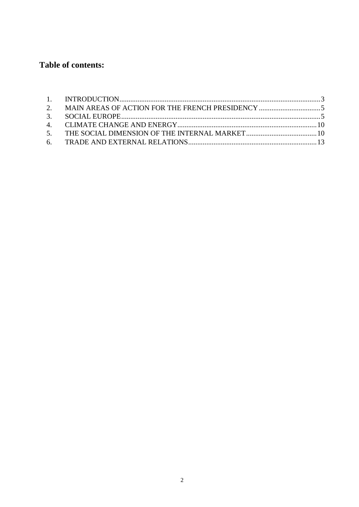## Table of contents: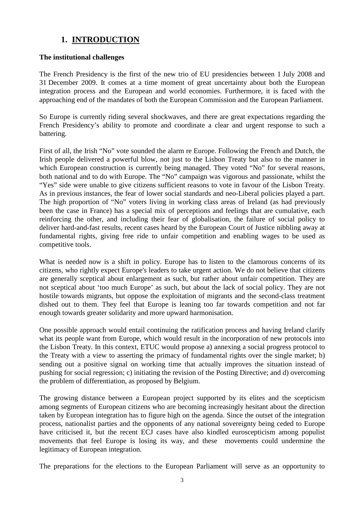## **1. INTRODUCTION**

#### **The institutional challenges**

The French Presidency is the first of the new trio of EU presidencies between 1 July 2008 and 31 December 2009. It comes at a time moment of great uncertainty about both the European integration process and the European and world economies. Furthermore, it is faced with the approaching end of the mandates of both the European Commission and the European Parliament.

So Europe is currently riding several shockwaves, and there are great expectations regarding the French Presidency's ability to promote and coordinate a clear and urgent response to such a battering.

First of all, the Irish "No" vote sounded the alarm re Europe. Following the French and Dutch, the Irish people delivered a powerful blow, not just to the Lisbon Treaty but also to the manner in which European construction is currently being managed. They voted "No" for several reasons, both national and to do with Europe. The "No" campaign was vigorous and passionate, whilst the "Yes" side were unable to give citizens sufficient reasons to vote in favour of the Lisbon Treaty. As in previous instances, the fear of lower social standards and neo-Liberal policies played a part. The high proportion of "No" voters living in working class areas of Ireland (as had previously been the case in France) has a special mix of perceptions and feelings that are cumulative, each reinforcing the other, and including their fear of globalisation, the failure of social policy to deliver hard-and-fast results, recent cases heard by the European Court of Justice nibbling away at fundamental rights, giving free ride to unfair competition and enabling wages to be used as competitive tools.

What is needed now is a shift in policy. Europe has to listen to the clamorous concerns of its citizens, who rightly expect Europe's leaders to take urgent action. We do not believe that citizens are generally sceptical about enlargement as such, but rather about unfair competition. They are not sceptical about 'too much Europe' as such, but about the lack of social policy. They are not hostile towards migrants, but oppose the exploitation of migrants and the second-class treatment dished out to them. They feel that Europe is leaning too far towards competition and not far enough towards greater solidarity and more upward harmonisation.

One possible approach would entail continuing the ratification process and having Ireland clarify what its people want from Europe, which would result in the incorporation of new protocols into the Lisbon Treaty. In this context, ETUC would propose a) annexing a social progress protocol to the Treaty with a view to asserting the primacy of fundamental rights over the single market; b) sending out a positive signal on working time that actually improves the situation instead of pushing for social regression; c) initiating the revision of the Posting Directive; and d) overcoming the problem of differentiation, as proposed by Belgium.

The growing distance between a European project supported by its elites and the scepticism among segments of European citizens who are becoming increasingly hesitant about the direction taken by European integration has to figure high on the agenda. Since the outset of the integration process, nationalist parties and the opponents of any national sovereignty being ceded to Europe have criticised it, but the recent ECJ cases have also kindled euroscepticism among populist movements that feel Europe is losing its way, and these movements could undermine the legitimacy of European integration.

The preparations for the elections to the European Parliament will serve as an opportunity to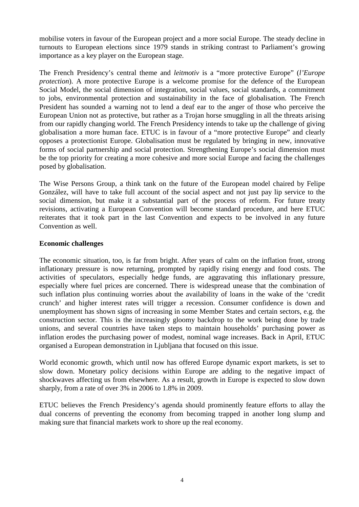mobilise voters in favour of the European project and a more social Europe. The steady decline in turnouts to European elections since 1979 stands in striking contrast to Parliament's growing importance as a key player on the European stage.

The French Presidency's central theme and *leitmotiv* is a "more protective Europe" (*l'Europe protection*). A more protective Europe is a welcome promise for the defence of the European Social Model, the social dimension of integration, social values, social standards, a commitment to jobs, environmental protection and sustainability in the face of globalisation. The French President has sounded a warning not to lend a deaf ear to the anger of those who perceive the European Union not as protective, but rather as a Trojan horse smuggling in all the threats arising from our rapidly changing world. The French Presidency intends to take up the challenge of giving globalisation a more human face. ETUC is in favour of a "more protective Europe" and clearly opposes a protectionist Europe. Globalisation must be regulated by bringing in new, innovative forms of social partnership and social protection. Strengthening Europe's social dimension must be the top priority for creating a more cohesive and more social Europe and facing the challenges posed by globalisation.

The Wise Persons Group, a think tank on the future of the European model chaired by Felipe González, will have to take full account of the social aspect and not just pay lip service to the social dimension, but make it a substantial part of the process of reform. For future treaty revisions, activating a European Convention will become standard procedure, and here ETUC reiterates that it took part in the last Convention and expects to be involved in any future Convention as well.

#### **Economic challenges**

The economic situation, too, is far from bright. After years of calm on the inflation front, strong inflationary pressure is now returning, prompted by rapidly rising energy and food costs. The activities of speculators, especially hedge funds, are aggravating this inflationary pressure, especially where fuel prices are concerned. There is widespread unease that the combination of such inflation plus continuing worries about the availability of loans in the wake of the 'credit crunch' and higher interest rates will trigger a recession. Consumer confidence is down and unemployment has shown signs of increasing in some Member States and certain sectors, e.g. the construction sector. This is the increasingly gloomy backdrop to the work being done by trade unions, and several countries have taken steps to maintain households' purchasing power as inflation erodes the purchasing power of modest, nominal wage increases. Back in April, ETUC organised a European demonstration in Ljubljana that focused on this issue.

World economic growth, which until now has offered Europe dynamic export markets, is set to slow down. Monetary policy decisions within Europe are adding to the negative impact of shockwaves affecting us from elsewhere. As a result, growth in Europe is expected to slow down sharply, from a rate of over 3% in 2006 to 1.8% in 2009.

ETUC believes the French Presidency's agenda should prominently feature efforts to allay the dual concerns of preventing the economy from becoming trapped in another long slump and making sure that financial markets work to shore up the real economy.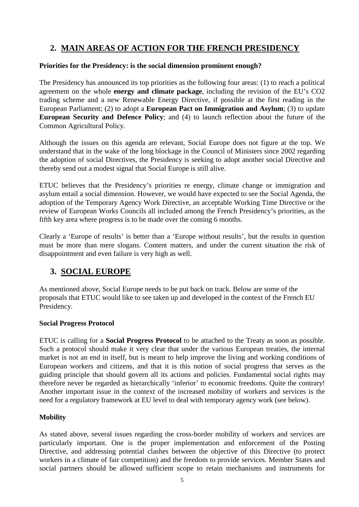## **2. MAIN AREAS OF ACTION FOR THE FRENCH PRESIDENCY**

#### **Priorities for the Presidency: is the social dimension prominent enough?**

The Presidency has announced its top priorities as the following four areas: (1) to reach a political agreement on the whole **energy and climate package**, including the revision of the EU's CO2 trading scheme and a new Renewable Energy Directive, if possible at the first reading in the European Parliament; (2) to adopt a **European Pact on Immigration and Asylum**; (3) to update **European Security and Defence Policy**; and (4) to launch reflection about the future of the Common Agricultural Policy.

Although the issues on this agenda are relevant, Social Europe does not figure at the top. We understand that in the wake of the long blockage in the Council of Ministers since 2002 regarding the adoption of social Directives, the Presidency is seeking to adopt another social Directive and thereby send out a modest signal that Social Europe is still alive.

ETUC believes that the Presidency's priorities re energy, climate change or immigration and asylum entail a social dimension. However, we would have expected to see the Social Agenda, the adoption of the Temporary Agency Work Directive, an acceptable Working Time Directive or the review of European Works Councils all included among the French Presidency's priorities, as the fifth key area where progress is to be made over the coming 6 months.

Clearly a 'Europe of results' is better than a 'Europe without results', but the results in question must be more than mere slogans. Content matters, and under the current situation the risk of disappointment and even failure is very high as well.

## **3. SOCIAL EUROPE**

As mentioned above, Social Europe needs to be put back on track. Below are some of the proposals that ETUC would like to see taken up and developed in the context of the French EU Presidency.

#### **Social Progress Protocol**

ETUC is calling for a **Social Progress Protocol** to be attached to the Treaty as soon as possible. Such a protocol should make it very clear that under the various European treaties, the internal market is not an end in itself, but is meant to help improve the living and working conditions of European workers and citizens, and that it is this notion of social progress that serves as the guiding principle that should govern all its actions and policies. Fundamental social rights may therefore never be regarded as hierarchically 'inferior' to economic freedoms. Quite the contrary! Another important issue in the context of the increased mobility of workers and services is the need for a regulatory framework at EU level to deal with temporary agency work (see below).

#### **Mobility**

As stated above, several issues regarding the cross-border mobility of workers and services are particularly important. One is the proper implementation and enforcement of the Posting Directive, and addressing potential clashes between the objective of this Directive (to protect workers in a climate of fair competition) and the freedom to provide services. Member States and social partners should be allowed sufficient scope to retain mechanisms and instruments for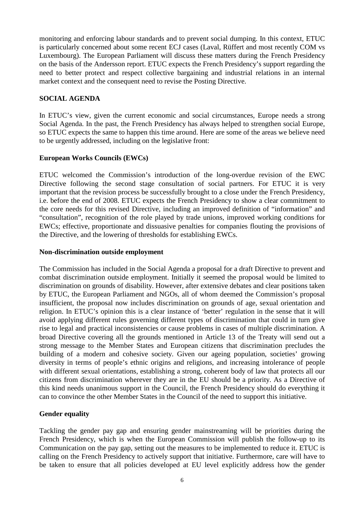monitoring and enforcing labour standards and to prevent social dumping. In this context, ETUC is particularly concerned about some recent ECJ cases (Laval, Rüffert and most recently COM vs Luxembourg). The European Parliament will discuss these matters during the French Presidency on the basis of the Andersson report. ETUC expects the French Presidency's support regarding the need to better protect and respect collective bargaining and industrial relations in an internal market context and the consequent need to revise the Posting Directive.

#### **SOCIAL AGENDA**

In ETUC's view, given the current economic and social circumstances, Europe needs a strong Social Agenda. In the past, the French Presidency has always helped to strengthen social Europe, so ETUC expects the same to happen this time around. Here are some of the areas we believe need to be urgently addressed, including on the legislative front:

#### **European Works Councils (EWCs)**

ETUC welcomed the Commission's introduction of the long-overdue revision of the EWC Directive following the second stage consultation of social partners. For ETUC it is very important that the revision process be successfully brought to a close under the French Presidency, i.e. before the end of 2008. ETUC expects the French Presidency to show a clear commitment to the core needs for this revised Directive, including an improved definition of "information" and "consultation", recognition of the role played by trade unions, improved working conditions for EWCs; effective, proportionate and dissuasive penalties for companies flouting the provisions of the Directive, and the lowering of thresholds for establishing EWCs.

#### **Non-discrimination outside employment**

The Commission has included in the Social Agenda a proposal for a draft Directive to prevent and combat discrimination outside employment. Initially it seemed the proposal would be limited to discrimination on grounds of disability. However, after extensive debates and clear positions taken by ETUC, the European Parliament and NGOs, all of whom deemed the Commission's proposal insufficient, the proposal now includes discrimination on grounds of age, sexual orientation and religion. In ETUC's opinion this is a clear instance of 'better' regulation in the sense that it will avoid applying different rules governing different types of discrimination that could in turn give rise to legal and practical inconsistencies or cause problems in cases of multiple discrimination. A broad Directive covering all the grounds mentioned in Article 13 of the Treaty will send out a strong message to the Member States and European citizens that discrimination precludes the building of a modern and cohesive society. Given our ageing population, societies' growing diversity in terms of people's ethnic origins and religions, and increasing intolerance of people with different sexual orientations, establishing a strong, coherent body of law that protects all our citizens from discrimination wherever they are in the EU should be a priority. As a Directive of this kind needs unanimous support in the Council, the French Presidency should do everything it can to convince the other Member States in the Council of the need to support this initiative.

#### **Gender equality**

Tackling the gender pay gap and ensuring gender mainstreaming will be priorities during the French Presidency, which is when the European Commission will publish the follow-up to its Communication on the pay gap, setting out the measures to be implemented to reduce it. ETUC is calling on the French Presidency to actively support that initiative. Furthermore, care will have to be taken to ensure that all policies developed at EU level explicitly address how the gender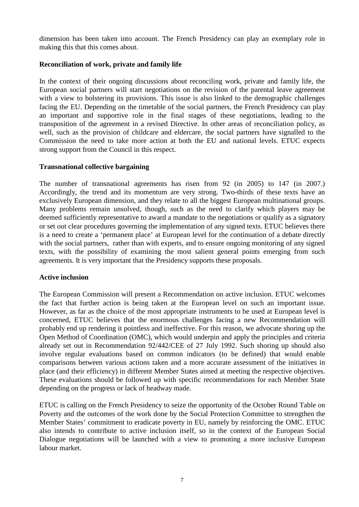dimension has been taken into account. The French Presidency can play an exemplary role in making this that this comes about.

#### **Reconciliation of work, private and family life**

In the context of their ongoing discussions about reconciling work, private and family life, the European social partners will start negotiations on the revision of the parental leave agreement with a view to bolstering its provisions. This issue is also linked to the demographic challenges facing the EU. Depending on the timetable of the social partners, the French Presidency can play an important and supportive role in the final stages of these negotiations, leading to the transposition of the agreement in a revised Directive. In other areas of reconciliation policy, as well, such as the provision of childcare and eldercare, the social partners have signalled to the Commission the need to take more action at both the EU and national levels. ETUC expects strong support from the Council in this respect.

#### **Transnational collective bargaining**

The number of transnational agreements has risen from 92 (in 2005) to 147 (in 2007.) Accordingly, the trend and its momentum are very strong. Two-thirds of these texts have an exclusively European dimension, and they relate to all the biggest European multinational groups. Many problems remain unsolved, though, such as the need to clarify which players may be deemed sufficiently representative to award a mandate to the negotiations or qualify as a signatory or set out clear procedures governing the implementation of any signed texts. ETUC believes there is a need to create a 'permanent place' at European level for the continuation of a debate directly with the social partners, rather than with experts, and to ensure ongoing monitoring of any signed texts, with the possibility of examining the most salient general points emerging from such agreements. It is very important that the Presidency supports these proposals.

#### **Active inclusion**

The European Commission will present a Recommendation on active inclusion. ETUC welcomes the fact that further action is being taken at the European level on such an important issue. However, as far as the choice of the most appropriate instruments to be used at European level is concerned, ETUC believes that the enormous challenges facing a new Recommendation will probably end up rendering it pointless and ineffective. For this reason, we advocate shoring up the Open Method of Coordination (OMC), which would underpin and apply the principles and criteria already set out in Recommendation 92/442/CEE of 27 July 1992. Such shoring up should also involve regular evaluations based on common indicators (to be defined) that would enable comparisons between various actions taken and a more accurate assessment of the initiatives in place (and their efficiency) in different Member States aimed at meeting the respective objectives. These evaluations should be followed up with specific recommendations for each Member State depending on the progress or lack of headway made.

ETUC is calling on the French Presidency to seize the opportunity of the October Round Table on Poverty and the outcomes of the work done by the Social Protection Committee to strengthen the Member States' commitment to eradicate poverty in EU, namely by reinforcing the OMC. ETUC also intends to contribute to active inclusion itself, so in the context of the European Social Dialogue negotiations will be launched with a view to promoting a more inclusive European labour market.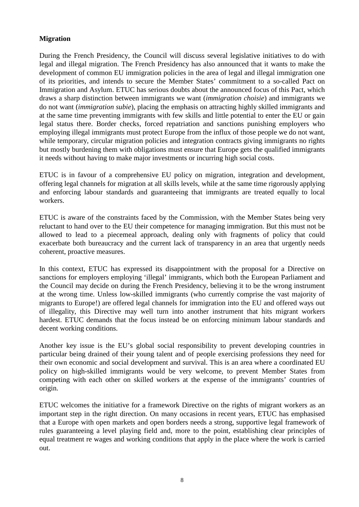#### **Migration**

During the French Presidency, the Council will discuss several legislative initiatives to do with legal and illegal migration. The French Presidency has also announced that it wants to make the development of common EU immigration policies in the area of legal and illegal immigration one of its priorities, and intends to secure the Member States' commitment to a so-called Pact on Immigration and Asylum. ETUC has serious doubts about the announced focus of this Pact, which draws a sharp distinction between immigrants we want (*immigration choisie*) and immigrants we do not want (*immigration subie*), placing the emphasis on attracting highly skilled immigrants and at the same time preventing immigrants with few skills and little potential to enter the EU or gain legal status there. Border checks, forced repatriation and sanctions punishing employers who employing illegal immigrants must protect Europe from the influx of those people we do not want, while temporary, circular migration policies and integration contracts giving immigrants no rights but mostly burdening them with obligations must ensure that Europe gets the qualified immigrants it needs without having to make major investments or incurring high social costs.

ETUC is in favour of a comprehensive EU policy on migration, integration and development, offering legal channels for migration at all skills levels, while at the same time rigorously applying and enforcing labour standards and guaranteeing that immigrants are treated equally to local workers.

ETUC is aware of the constraints faced by the Commission, with the Member States being very reluctant to hand over to the EU their competence for managing immigration. But this must not be allowed to lead to a piecemeal approach, dealing only with fragments of policy that could exacerbate both bureaucracy and the current lack of transparency in an area that urgently needs coherent, proactive measures.

In this context, ETUC has expressed its disappointment with the proposal for a Directive on sanctions for employers employing 'illegal' immigrants, which both the European Parliament and the Council may decide on during the French Presidency, believing it to be the wrong instrument at the wrong time. Unless low-skilled immigrants (who currently comprise the vast majority of migrants to Europe!) are offered legal channels for immigration into the EU and offered ways out of illegality, this Directive may well turn into another instrument that hits migrant workers hardest. ETUC demands that the focus instead be on enforcing minimum labour standards and decent working conditions.

Another key issue is the EU's global social responsibility to prevent developing countries in particular being drained of their young talent and of people exercising professions they need for their own economic and social development and survival. This is an area where a coordinated EU policy on high-skilled immigrants would be very welcome, to prevent Member States from competing with each other on skilled workers at the expense of the immigrants' countries of origin.

ETUC welcomes the initiative for a framework Directive on the rights of migrant workers as an important step in the right direction. On many occasions in recent years, ETUC has emphasised that a Europe with open markets and open borders needs a strong, supportive legal framework of rules guaranteeing a level playing field and, more to the point, establishing clear principles of equal treatment re wages and working conditions that apply in the place where the work is carried out.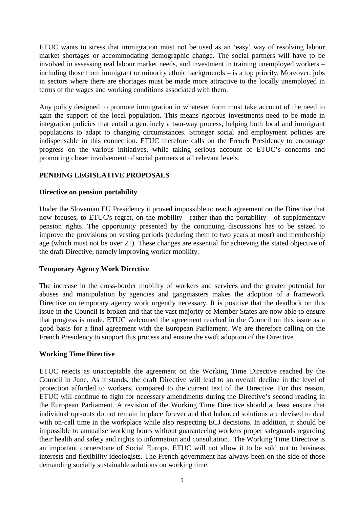ETUC wants to stress that immigration must not be used as an 'easy' way of resolving labour market shortages or accommodating demographic change. The social partners will have to be involved in assessing real labour market needs, and investment in training unemployed workers – including those from immigrant or minority ethnic backgrounds – is a top priority. Moreover, jobs in sectors where there are shortages must be made more attractive to the locally unemployed in terms of the wages and working conditions associated with them.

Any policy designed to promote immigration in whatever form must take account of the need to gain the support of the local population. This means rigorous investments need to be made in integration policies that entail a genuinely a two-way process, helping both local and immigrant populations to adapt to changing circumstances. Stronger social and employment policies are indispensable in this connection. ETUC therefore calls on the French Presidency to encourage progress on the various initiatives, while taking serious account of ETUC's concerns and promoting closer involvement of social partners at all relevant levels.

#### **PENDING LEGISLATIVE PROPOSALS**

#### **Directive on pension portability**

Under the Slovenian EU Presidency it proved impossible to reach agreement on the Directive that now focuses, to ETUC's regret, on the mobility - rather than the portability - of supplementary pension rights. The opportunity presented by the continuing discussions has to be seized to improve the provisions on vesting periods (reducing them to two years at most) and membership age (which must not be over 21). These changes are essential for achieving the stated objective of the draft Directive, namely improving worker mobility.

#### **Temporary Agency Work Directive**

The increase in the cross-border mobility of workers and services and the greater potential for abuses and manipulation by agencies and gangmasters makes the adoption of a framework Directive on temporary agency work urgently necessary. It is positive that the deadlock on this issue in the Council is broken and that the vast majority of Member States are now able to ensure that progress is made. ETUC welcomed the agreement reached in the Council on this issue as a good basis for a final agreement with the European Parliament. We are therefore calling on the French Presidency to support this process and ensure the swift adoption of the Directive.

#### **Working Time Directive**

ETUC rejects as unacceptable the agreement on the Working Time Directive reached by the Council in June. As it stands, the draft Directive will lead to an overall decline in the level of protection afforded to workers, compared to the current text of the Directive. For this reason, ETUC will continue to fight for necessary amendments during the Directive's second reading in the European Parliament. A revision of the Working Time Directive should at least ensure that individual opt-outs do not remain in place forever and that balanced solutions are devised to deal with on-call time in the workplace while also respecting ECJ decisions. In addition, it should be impossible to annualise working hours without guaranteeing workers proper safeguards regarding their health and safety and rights to information and consultation. The Working Time Directive is an important cornerstone of Social Europe. ETUC will not allow it to be sold out to business interests and flexibility ideologists. The French government has always been on the side of those demanding socially sustainable solutions on working time.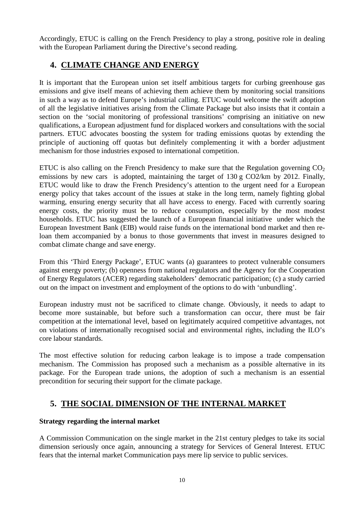Accordingly, ETUC is calling on the French Presidency to play a strong, positive role in dealing with the European Parliament during the Directive's second reading.

## **4. CLIMATE CHANGE AND ENERGY**

It is important that the European union set itself ambitious targets for curbing greenhouse gas emissions and give itself means of achieving them achieve them by monitoring social transitions in such a way as to defend Europe's industrial calling. ETUC would welcome the swift adoption of all the legislative initiatives arising from the Climate Package but also insists that it contain a section on the 'social monitoring of professional transitions' comprising an initiative on new qualifications, a European adjustment fund for displaced workers and consultations with the social partners. ETUC advocates boosting the system for trading emissions quotas by extending the principle of auctioning off quotas but definitely complementing it with a border adjustment mechanism for those industries exposed to international competition.

ETUC is also calling on the French Presidency to make sure that the Regulation governing  $CO<sub>2</sub>$ emissions by new cars is adopted, maintaining the target of 130 g CO2/km by 2012. Finally, ETUC would like to draw the French Presidency's attention to the urgent need for a European energy policy that takes account of the issues at stake in the long term, namely fighting global warming, ensuring energy security that all have access to energy. Faced with currently soaring energy costs, the priority must be to reduce consumption, especially by the most modest households. ETUC has suggested the launch of a European financial initiative under which the European Investment Bank (EIB) would raise funds on the international bond market and then reloan them accompanied by a bonus to those governments that invest in measures designed to combat climate change and save energy.

From this 'Third Energy Package', ETUC wants (a) guarantees to protect vulnerable consumers against energy poverty; (b) openness from national regulators and the Agency for the Cooperation of Energy Regulators (ACER) regarding stakeholders' democratic participation; (c) a study carried out on the impact on investment and employment of the options to do with 'unbundling'.

European industry must not be sacrificed to climate change. Obviously, it needs to adapt to become more sustainable, but before such a transformation can occur, there must be fair competition at the international level, based on legitimately acquired competitive advantages, not on violations of internationally recognised social and environmental rights, including the ILO's core labour standards.

The most effective solution for reducing carbon leakage is to impose a trade compensation mechanism. The Commission has proposed such a mechanism as a possible alternative in its package. For the European trade unions, the adoption of such a mechanism is an essential precondition for securing their support for the climate package.

## **5. THE SOCIAL DIMENSION OF THE INTERNAL MARKET**

#### **Strategy regarding the internal market**

A Commission Communication on the single market in the 21st century pledges to take its social dimension seriously once again, announcing a strategy for Services of General Interest. ETUC fears that the internal market Communication pays mere lip service to public services.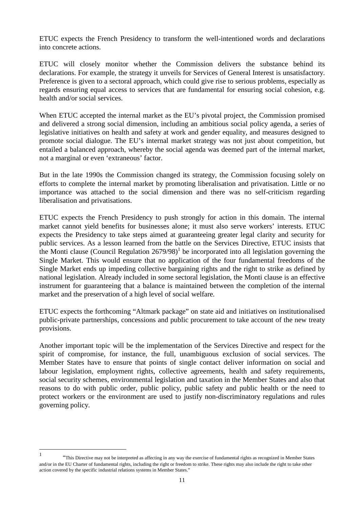ETUC expects the French Presidency to transform the well-intentioned words and declarations into concrete actions.

ETUC will closely monitor whether the Commission delivers the substance behind its declarations. For example, the strategy it unveils for Services of General Interest is unsatisfactory. Preference is given to a sectoral approach, which could give rise to serious problems, especially as regards ensuring equal access to services that are fundamental for ensuring social cohesion, e.g. health and/or social services.

When ETUC accepted the internal market as the EU's pivotal project, the Commission promised and delivered a strong social dimension, including an ambitious social policy agenda, a series of legislative initiatives on health and safety at work and gender equality, and measures designed to promote social dialogue. The EU's internal market strategy was not just about competition, but entailed a balanced approach, whereby the social agenda was deemed part of the internal market, not a marginal or even 'extraneous' factor.

But in the late 1990s the Commission changed its strategy, the Commission focusing solely on efforts to complete the internal market by promoting liberalisation and privatisation. Little or no importance was attached to the social dimension and there was no self-criticism regarding liberalisation and privatisations.

ETUC expects the French Presidency to push strongly for action in this domain. The internal market cannot yield benefits for businesses alone; it must also serve workers' interests. ETUC expects the Presidency to take steps aimed at guaranteeing greater legal clarity and security for public services. As a lesson learned from the battle on the Services Directive, ETUC insists that the Monti clause (Council Regulation  $2679/98$ )<sup>1</sup> be incorporated into all legislation governing the Single Market. This would ensure that no application of the four fundamental freedoms of the Single Market ends up impeding collective bargaining rights and the right to strike as defined by national legislation. Already included in some sectoral legislation, the Monti clause is an effective instrument for guaranteeing that a balance is maintained between the completion of the internal market and the preservation of a high level of social welfare.

ETUC expects the forthcoming "Altmark package" on state aid and initiatives on institutionalised public-private partnerships, concessions and public procurement to take account of the new treaty provisions.

Another important topic will be the implementation of the Services Directive and respect for the spirit of compromise, for instance, the full, unambiguous exclusion of social services. The Member States have to ensure that points of single contact deliver information on social and labour legislation, employment rights, collective agreements, health and safety requirements, social security schemes, environmental legislation and taxation in the Member States and also that reasons to do with public order, public policy, public safety and public health or the need to protect workers or the environment are used to justify non-discriminatory regulations and rules governing policy.

<sup>|&</sup>lt;br>|<br>| "This Directive may not be interpreted as affecting in any way the exercise of fundamental rights as recognized in Member States and/or in the EU Charter of fundamental rights, including the right or freedom to strike. These rights may also include the right to take other action covered by the specific industrial relations systems in Member States."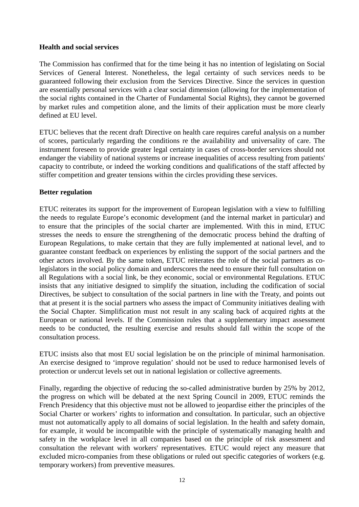#### **Health and social services**

The Commission has confirmed that for the time being it has no intention of legislating on Social Services of General Interest. Nonetheless, the legal certainty of such services needs to be guaranteed following their exclusion from the Services Directive. Since the services in question are essentially personal services with a clear social dimension (allowing for the implementation of the social rights contained in the Charter of Fundamental Social Rights), they cannot be governed by market rules and competition alone, and the limits of their application must be more clearly defined at EU level.

ETUC believes that the recent draft Directive on health care requires careful analysis on a number of scores, particularly regarding the conditions re the availability and universality of care. The instrument foreseen to provide greater legal certainty in cases of cross-border services should not endanger the viability of national systems or increase inequalities of access resulting from patients' capacity to contribute, or indeed the working conditions and qualifications of the staff affected by stiffer competition and greater tensions within the circles providing these services.

#### **Better regulation**

ETUC reiterates its support for the improvement of European legislation with a view to fulfilling the needs to regulate Europe's economic development (and the internal market in particular) and to ensure that the principles of the social charter are implemented. With this in mind, ETUC stresses the needs to ensure the strengthening of the democratic process behind the drafting of European Regulations, to make certain that they are fully implemented at national level, and to guarantee constant feedback on experiences by enlisting the support of the social partners and the other actors involved. By the same token, ETUC reiterates the role of the social partners as colegislators in the social policy domain and underscores the need to ensure their full consultation on all Regulations with a social link, be they economic, social or environmental Regulations. ETUC insists that any initiative designed to simplify the situation, including the codification of social Directives, be subject to consultation of the social partners in line with the Treaty, and points out that at present it is the social partners who assess the impact of Community initiatives dealing with the Social Chapter. Simplification must not result in any scaling back of acquired rights at the European or national levels. If the Commission rules that a supplementary impact assessment needs to be conducted, the resulting exercise and results should fall within the scope of the consultation process.

ETUC insists also that most EU social legislation be on the principle of minimal harmonisation. An exercise designed to 'improve regulation' should not be used to reduce harmonised levels of protection or undercut levels set out in national legislation or collective agreements.

Finally, regarding the objective of reducing the so-called administrative burden by 25% by 2012, the progress on which will be debated at the next Spring Council in 2009, ETUC reminds the French Presidency that this objective must not be allowed to jeopardise either the principles of the Social Charter or workers' rights to information and consultation. In particular, such an objective must not automatically apply to all domains of social legislation. In the health and safety domain, for example, it would be incompatible with the principle of systematically managing health and safety in the workplace level in all companies based on the principle of risk assessment and consultation the relevant with workers' representatives. ETUC would reject any measure that excluded micro-companies from these obligations or ruled out specific categories of workers (e.g. temporary workers) from preventive measures.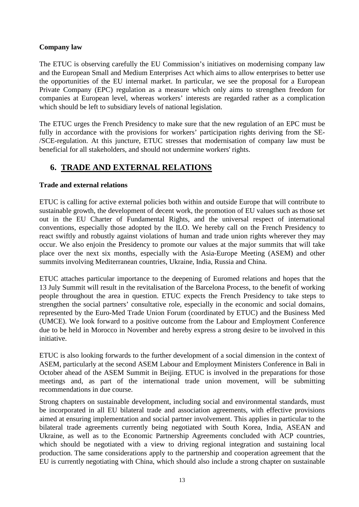#### **Company law**

The ETUC is observing carefully the EU Commission's initiatives on modernising company law and the European Small and Medium Enterprises Act which aims to allow enterprises to better use the opportunities of the EU internal market. In particular, we see the proposal for a European Private Company (EPC) regulation as a measure which only aims to strengthen freedom for companies at European level, whereas workers' interests are regarded rather as a complication which should be left to subsidiary levels of national legislation.

The ETUC urges the French Presidency to make sure that the new regulation of an EPC must be fully in accordance with the provisions for workers' participation rights deriving from the SE- /SCE-regulation. At this juncture, ETUC stresses that modernisation of company law must be beneficial for all stakeholders, and should not undermine workers' rights.

### **6. TRADE AND EXTERNAL RELATIONS**

#### **Trade and external relations**

ETUC is calling for active external policies both within and outside Europe that will contribute to sustainable growth, the development of decent work, the promotion of EU values such as those set out in the EU Charter of Fundamental Rights, and the universal respect of international conventions, especially those adopted by the ILO. We hereby call on the French Presidency to react swiftly and robustly against violations of human and trade union rights wherever they may occur. We also enjoin the Presidency to promote our values at the major summits that will take place over the next six months, especially with the Asia-Europe Meeting (ASEM) and other summits involving Mediterranean countries, Ukraine, India, Russia and China.

ETUC attaches particular importance to the deepening of Euromed relations and hopes that the 13 July Summit will result in the revitalisation of the Barcelona Process, to the benefit of working people throughout the area in question. ETUC expects the French Presidency to take steps to strengthen the social partners' consultative role, especially in the economic and social domains, represented by the Euro-Med Trade Union Forum (coordinated by ETUC) and the Business Med (UMCE). We look forward to a positive outcome from the Labour and Employment Conference due to be held in Morocco in November and hereby express a strong desire to be involved in this initiative.

ETUC is also looking forwards to the further development of a social dimension in the context of ASEM, particularly at the second ASEM Labour and Employment Ministers Conference in Bali in October ahead of the ASEM Summit in Beijing. ETUC is involved in the preparations for those meetings and, as part of the international trade union movement, will be submitting recommendations in due course.

Strong chapters on sustainable development, including social and environmental standards, must be incorporated in all EU bilateral trade and association agreements, with effective provisions aimed at ensuring implementation and social partner involvement. This applies in particular to the bilateral trade agreements currently being negotiated with South Korea, India, ASEAN and Ukraine, as well as to the Economic Partnership Agreements concluded with ACP countries, which should be negotiated with a view to driving regional integration and sustaining local production. The same considerations apply to the partnership and cooperation agreement that the EU is currently negotiating with China, which should also include a strong chapter on sustainable